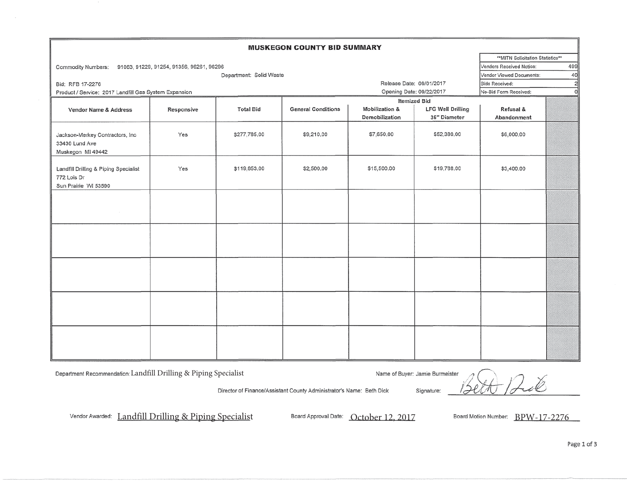| <b>MUSKEGON COUNTY BID SUMMARY</b>                                           |            |                  |                           |                           |                          |                                         |    |
|------------------------------------------------------------------------------|------------|------------------|---------------------------|---------------------------|--------------------------|-----------------------------------------|----|
|                                                                              |            |                  |                           |                           |                          | **MITN Solicitation Statistics**        |    |
| 91063, 91229, 91254, 91356, 96261, 96296<br>Commodity Numbers:               |            |                  |                           |                           |                          | 499<br>Vendors Received Notice:         |    |
| Department: Solid Waste                                                      |            |                  |                           |                           |                          | Vendor Viewed Documents:                | 40 |
| Bid: RFB 17-2276                                                             |            |                  |                           | Release Date: 09/01/2017  |                          | $\overline{2}$<br><b>Bids Received:</b> |    |
| Product / Service: 2017 Landfill Gas System Expansion                        |            |                  |                           | Opening Date: 09/22/2017  |                          | $\mathbf{0}$<br>No-Bid Form Received:   |    |
|                                                                              |            |                  |                           | <b>Itemized Bid</b>       |                          |                                         |    |
| Vendor Name & Address                                                        | Responsive | <b>Total Bid</b> | <b>General Conditions</b> | <b>Mobilization &amp;</b> | <b>LFG Well Drilling</b> | Refusal &                               |    |
|                                                                              |            |                  |                           | Demobilization            | 36" Diameter             | Abandonment                             |    |
| Jackson-Merkey Contractors, Inc<br>33430 Lund Ave<br>Muskegon MI 49442       | Yes        | \$277,785.00     | \$9,210.00                | \$7,650.00                | \$52,380.00              | \$6,000.00                              |    |
| Landfill Drilling & Piping Specialist<br>772 Lois Dr<br>Sun Prairie WI 53590 | Yes        | \$119,853.00     | \$2,500.00                | \$15,500.00               | \$19,788.00              | \$3,400.00                              |    |
|                                                                              |            |                  |                           |                           |                          |                                         |    |
|                                                                              |            |                  |                           |                           |                          |                                         |    |
|                                                                              |            |                  |                           |                           |                          |                                         |    |
|                                                                              |            |                  |                           |                           |                          |                                         |    |
|                                                                              |            |                  |                           |                           |                          |                                         |    |

Department Recommendation: Landfill Drilling & Piping Specialist

Name of Buyer: Jamie Burmeister

ŧ Signature:

Director of Finance/Assistant County Administrator's Name: Beth Dick

Vendor Awarded: Landfill Drilling & Piping Specialist Board Approval Date: October 12, 2017 Board Motion Number: BPW-17-2276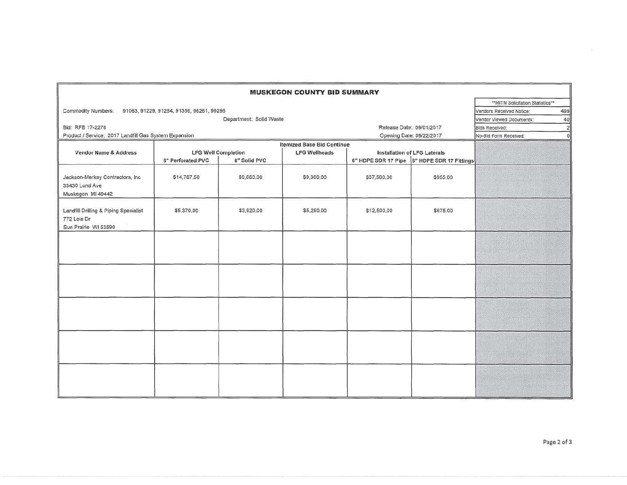| <b>MUSKEGON COUNTY BID SUMMARY</b>                                           |                                   |            |                                   |                                             |                          |                                   |  |  |
|------------------------------------------------------------------------------|-----------------------------------|------------|-----------------------------------|---------------------------------------------|--------------------------|-----------------------------------|--|--|
|                                                                              |                                   |            |                                   |                                             |                          | ** MITN Solicitation Statistics** |  |  |
| Commodity Numbers: 91063, 91229, 91254, 91356, 96261, 96296                  |                                   |            |                                   |                                             |                          | 499<br>Vendors Received Notice:   |  |  |
| Department: Solid Waste                                                      |                                   |            |                                   |                                             |                          | Vendor Viewed Documents:<br>40    |  |  |
| Bid: RFB 17-2276                                                             |                                   |            |                                   |                                             | Release Date: 09/01/2017 | $\overline{2}$<br>Bids Received:  |  |  |
| Product / Service: 2017 Landfill Gas System Expansion                        |                                   |            |                                   |                                             | Opening Date: 09/22/2017 | No-Bid Form Received:<br>C        |  |  |
|                                                                              |                                   |            | <b>Itemized Base Bid Continue</b> |                                             |                          |                                   |  |  |
| Vendor Name & Address                                                        | <b>LFG Well Completion</b>        |            | <b>LFG Wellheads</b>              | Installation of LFG Laterals                |                          |                                   |  |  |
|                                                                              | 6" Perforated PVC<br>6" Solid PVC |            |                                   | 6" HDPE SDR 17 Pipe 6" HDPE SDR 17 Fittings |                          |                                   |  |  |
| Jackson-Merkey Contractors, Inc.<br>33430 Lund Ave<br>Muskegon Mi 49442      | \$14,767.50                       | \$9,660.00 | \$9,360.00                        | \$37,500.00                                 | \$955,00                 |                                   |  |  |
| Landfill Drilling & Piping Specialist<br>772 Lois Dr<br>Sun Prairie WI 53590 | \$5,370.00                        | \$3,920.00 | \$5,250.00                        | \$12,500.00                                 | \$675.00                 |                                   |  |  |
|                                                                              |                                   |            |                                   |                                             |                          |                                   |  |  |
|                                                                              |                                   |            |                                   |                                             |                          |                                   |  |  |
|                                                                              |                                   |            |                                   |                                             |                          |                                   |  |  |
|                                                                              |                                   |            |                                   |                                             |                          |                                   |  |  |
|                                                                              |                                   |            |                                   |                                             |                          |                                   |  |  |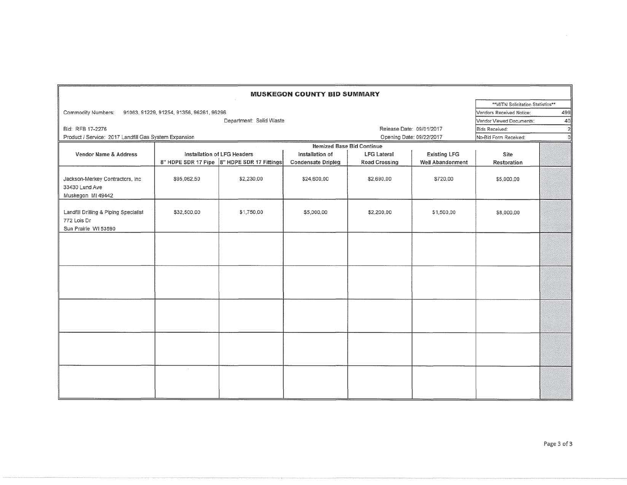|                                                                              |                             |                                             | <b>MUSKEGON COUNTY BID SUMMARY</b>           |                                            |                                                |                                   |     |
|------------------------------------------------------------------------------|-----------------------------|---------------------------------------------|----------------------------------------------|--------------------------------------------|------------------------------------------------|-----------------------------------|-----|
|                                                                              |                             |                                             |                                              |                                            |                                                | **MITN Solicitation Statistics**  |     |
| Commodity Numbers: 91063, 91229, 91254, 91356, 96261, 96296                  |                             |                                             |                                              |                                            |                                                | Vendors Received Notice:          | 499 |
| Department: Solid Waste                                                      |                             |                                             |                                              |                                            |                                                | Vendor Viewed Documents:          | 40  |
| Bid: RFB 17-2276                                                             |                             |                                             |                                              | Release Date: 09/01/2017                   |                                                | 2<br><b>Bids Received:</b>        |     |
| Product / Service: 2017 Landfill Gas System Expansion                        |                             |                                             |                                              | Opening Date: 09/22/2017                   |                                                | $\Omega$<br>No-Bid Form Received: |     |
|                                                                              |                             |                                             | <b>Itemized Base Bid Continue</b>            |                                            |                                                |                                   |     |
| Vendor Name & Address                                                        | Installation of LFG Headers | 8" HDPE SDR 17 Pipe 8" HDPE SDR 17 Fittings | Installation of<br><b>Condensate Dripleg</b> | <b>LFG Lateral</b><br><b>Road Crossing</b> | <b>Existing LFG</b><br><b>Well Abandonment</b> | Site<br>Restoration               |     |
| Jackson-Merkey Contractors, Inc.<br>33430 Lund Ave<br>Muskegon MI 49442      | \$95,062,50                 | \$2,230.00                                  | \$24,600.00                                  | \$2,690.00                                 | \$720,00                                       | \$5,000.00                        |     |
| Landfill Drilling & Piping Specialist<br>772 Lois Dr<br>Sun Prairie WI 53590 | \$32,500.00                 | \$1,750.00                                  | \$5,000.00                                   | \$2,200.00                                 | \$1,500.00                                     | \$8,000.00                        |     |
|                                                                              |                             |                                             |                                              |                                            |                                                |                                   |     |
|                                                                              |                             |                                             |                                              |                                            |                                                |                                   |     |
|                                                                              |                             |                                             |                                              |                                            |                                                |                                   |     |
|                                                                              |                             |                                             |                                              |                                            |                                                |                                   |     |
|                                                                              | H.                          |                                             |                                              |                                            |                                                |                                   |     |